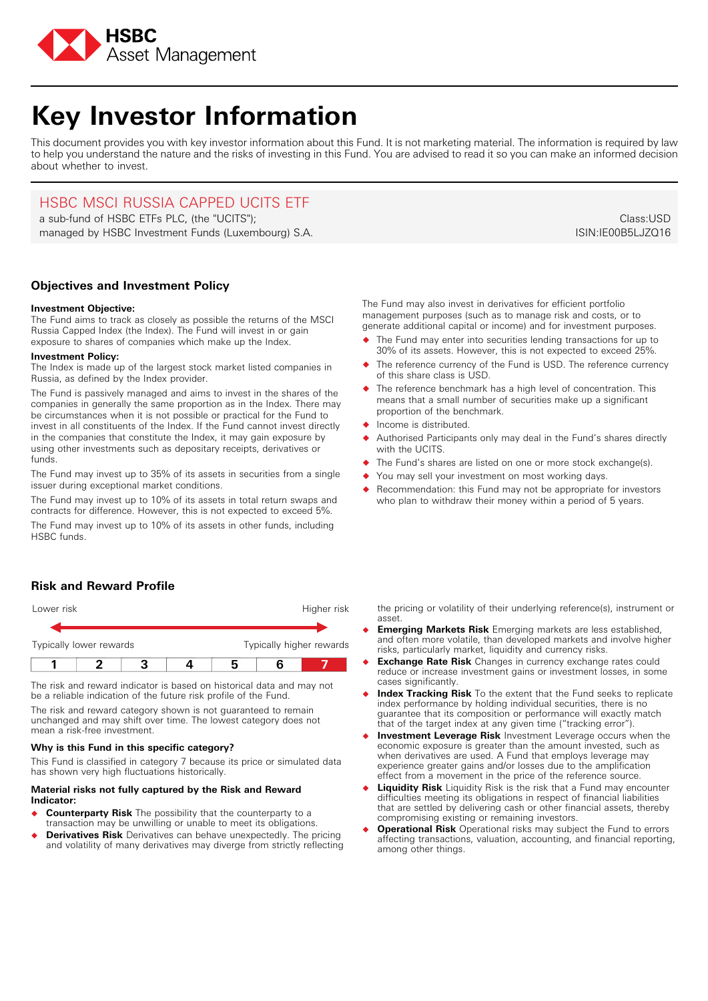

# **Key Investor Information**

This document provides you with key investor information about this Fund. It is not marketing material. The information is required by law to help you understand the nature and the risks of investing in this Fund. You are advised to read it so you can make an informed decision about whether to invest.

## HSBC MSCI RUSSIA CAPPED UCITS ETF

a sub-fund of HSBC ETFs PLC, (the "UCITS"); managed by HSBC Investment Funds (Luxembourg) S.A.

**Objectives and Investment Policy**

## **Investment Objective:**

The Fund aims to track as closely as possible the returns of the MSCI Russia Capped Index (the Index). The Fund will invest in or gain exposure to shares of companies which make up the Index.

### **Investment Policy:**

The Index is made up of the largest stock market listed companies in Russia, as defined by the Index provider.

The Fund is passively managed and aims to invest in the shares of the companies in generally the same proportion as in the Index. There may be circumstances when it is not possible or practical for the Fund to invest in all constituents of the Index. If the Fund cannot invest directly in the companies that constitute the Index, it may gain exposure by using other investments such as depositary receipts, derivatives or funds.

The Fund may invest up to 35% of its assets in securities from a single issuer during exceptional market conditions.

The Fund may invest up to 10% of its assets in total return swaps and contracts for difference. However, this is not expected to exceed 5%.

The Fund may invest up to 10% of its assets in other funds, including HSBC funds.

## **Risk and Reward Profile**

| Lower risk              |  |  |  |                          | Higher risk |  |
|-------------------------|--|--|--|--------------------------|-------------|--|
|                         |  |  |  |                          |             |  |
| Typically lower rewards |  |  |  | Typically higher rewards |             |  |
|                         |  |  |  |                          |             |  |

The risk and reward indicator is based on historical data and may not be a reliable indication of the future risk profile of the Fund.

The risk and reward category shown is not guaranteed to remain unchanged and may shift over time. The lowest category does not mean a risk-free investment.

## **Why is this Fund in this specific category?**

This Fund is classified in category 7 because its price or simulated data has shown very high fluctuations historically.

### **Material risks not fully captured by the Risk and Reward Indicator:**

- � **Counterparty Risk** The possibility that the counterparty to a transaction may be unwilling or unable to meet its obligations.
- � **Derivatives Risk** Derivatives can behave unexpectedly. The pricing and volatility of many derivatives may diverge from strictly reflecting

The Fund may also invest in derivatives for efficient portfolio management purposes (such as to manage risk and costs, or to generate additional capital or income) and for investment purposes.

- � The Fund may enter into securities lending transactions for up to 30% of its assets. However, this is not expected to exceed 25%.
- The reference currency of the Fund is USD. The reference currency of this share class is USD.
- The reference benchmark has a high level of concentration. This means that a small number of securities make up a significant proportion of the benchmark.
- ◆ Income is distributed.
- Authorised Participants only may deal in the Fund's shares directly with the **UCITS**
- The Fund's shares are listed on one or more stock exchange(s).
- You may sell your investment on most working days.
- Recommendation: this Fund may not be appropriate for investors who plan to withdraw their money within a period of 5 years.

the pricing or volatility of their underlying reference(s), instrument or asset.

- � **Emerging Markets Risk** Emerging markets are less established, and often more volatile, than developed markets and involve higher risks, particularly market, liquidity and currency risks.
- **Exchange Rate Risk** Changes in currency exchange rates could reduce or increase investment gains or investment losses, in some cases significantly.
- � **Index Tracking Risk** To the extent that the Fund seeks to replicate index performance by holding individual securities, there is no guarantee that its composition or performance will exactly match that of the target index at any given time ("tracking error").
- � **Investment Leverage Risk** Investment Leverage occurs when the economic exposure is greater than the amount invested, such as when derivatives are used. A Fund that employs leverage may experience greater gains and/or losses due to the amplification effect from a movement in the price of the reference source.
- **Liquidity Risk** Liquidity Risk is the risk that a Fund may encounter difficulties meeting its obligations in respect of financial liabilities that are settled by delivering cash or other financial assets, thereby compromising existing or remaining investors.
- � **Operational Risk** Operational risks may subject the Fund to errors affecting transactions, valuation, accounting, and financial reporting, among other things.

Class:USD ISIN:IE00B5LJZQ16